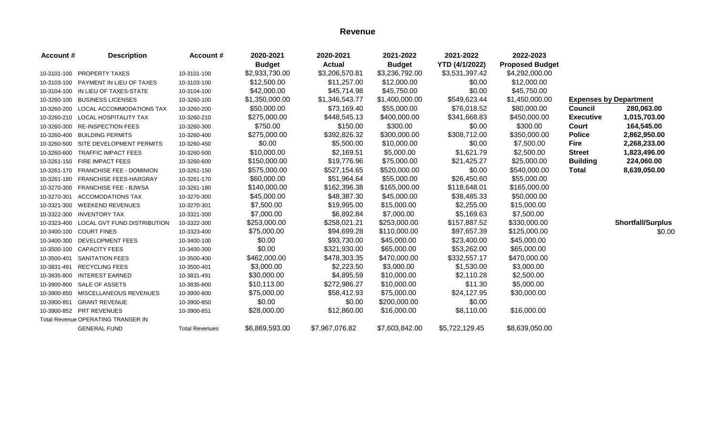# **Revenue**

| Account #   | <b>Description</b>                 | Account #             | 2020-2021      | 2020-2021      | 2021-2022      | 2021-2022             | 2022-2023              |                  |                               |
|-------------|------------------------------------|-----------------------|----------------|----------------|----------------|-----------------------|------------------------|------------------|-------------------------------|
|             |                                    |                       | <b>Budget</b>  | <b>Actual</b>  | <b>Budget</b>  | <b>YTD (4/1/2022)</b> | <b>Proposed Budget</b> |                  |                               |
| 10-3101-100 | <b>PROPERTY TAXES</b>              | 10-3101-100           | \$2,933,730.00 | \$3,206,570.81 | \$3,236,792.00 | \$3,531,397.42        | \$4,292,000.00         |                  |                               |
| 10-3103-100 | PAYMENT IN LIEU OF TAXES           | 10-3103-100           | \$12,500.00    | \$11,257.00    | \$12,000.00    | \$0.00                | \$12,000.00            |                  |                               |
| 10-3104-100 | IN LIEU OF TAXES-STATE             | 10-3104-100           | \$42,000.00    | \$45,714.98    | \$45,750.00    | \$0.00                | \$45,750.00            |                  |                               |
| 10-3260-100 | <b>BUSINESS LICENSES</b>           | 10-3260-100           | \$1,350,000.00 | \$1,346,543.77 | \$1,400,000.00 | \$549,623.44          | \$1,450,000.00         |                  | <b>Expenses by Department</b> |
| 10-3260-200 | LOCAL ACCOMMODATIONS TAX           | 10-3260-200           | \$50,000.00    | \$73,169.40    | \$55,000.00    | \$76,018.52           | \$80,000.00            | <b>Council</b>   | 280,063.00                    |
| 10-3260-210 | LOCAL HOSPITALITY TAX              | 10-3260-210           | \$275,000.00   | \$448,545.13   | \$400,000.00   | \$341,668.83          | \$450,000.00           | <b>Executive</b> | 1,015,703.00                  |
| 10-3260-300 | <b>RE-INSPECTION FEES</b>          | 10-3260-300           | \$750.00       | \$150.00       | \$300.00       | \$0.00                | \$300.00               | Court            | 164,545.00                    |
| 10-3260-400 | <b>BUILDING PERMITS</b>            | 10-3260-400           | \$275,000.00   | \$392,826.32   | \$300,000.00   | \$308,712.00          | \$350,000.00           | <b>Police</b>    | 2,862,950.00                  |
| 10-3260-500 | SITE DEVELOPMENT PERMITS           | 10-3260-450           | \$0.00         | \$5,500.00     | \$10,000.00    | \$0.00                | \$7,500.00             | <b>Fire</b>      | 2,268,233.00                  |
| 10-3260-600 | <b>TRAFFIC IMPACT FEES</b>         | 10-3260-500           | \$10,000.00    | \$2,169.51     | \$5,000.00     | \$1,621.79            | \$2,500.00             | <b>Street</b>    | 1,823,496.00                  |
| 10-3261-150 | FIRE IMPACT FEES                   | 10-3260-600           | \$150,000.00   | \$19,776.96    | \$75,000.00    | \$21,425.27           | \$25,000.00            | <b>Building</b>  | 224,060.00                    |
| 10-3261-170 | <b>FRANCHISE FEE - DOMINION</b>    | 10-3261-150           | \$575,000.00   | \$527,154.65   | \$520,000.00   | \$0.00                | \$540,000.00           | <b>Total</b>     | 8,639,050.00                  |
| 10-3261-180 | FRANCHISE FEES-HARGRAY             | 10-3261-170           | \$60,000.00    | \$51,964.64    | \$55,000.00    | \$26,450.60           | \$55,000.00            |                  |                               |
| 10-3270-300 | <b>FRANCHISE FEE - BJWSA</b>       | 10-3261-180           | \$140,000.00   | \$162,396.38   | \$165,000.00   | \$118,648.01          | \$165,000.00           |                  |                               |
| 10-3270-301 | <b>ACCOMODATIONS TAX</b>           | 10-3270-300           | \$45,000.00    | \$48,387.30    | \$45,000.00    | \$38,485.33           | \$50,000.00            |                  |                               |
| 10-3321-300 | <b>WEEKEND REVENUES</b>            | 10-3270-301           | \$7,500.00     | \$19,995.00    | \$15,000.00    | \$2,255.00            | \$15,000.00            |                  |                               |
| 10-3322-300 | <b>INVENTORY TAX</b>               | 10-3321-300           | \$7,000.00     | \$6,892.84     | \$7,000.00     | \$5,169.63            | \$7,500.00             |                  |                               |
| 10-3323-400 | <b>LOCAL GVT FUND DISTRIBUTION</b> | 10-3322-300           | \$253,000.00   | \$258,021.21   | \$253,000.00   | \$157,887.52          | \$330,000.00           |                  | <b>Shortfall/Surplus</b>      |
| 10-3400-100 | <b>COURT FINES</b>                 | 10-3323-400           | \$75,000.00    | \$94,699.28    | \$110,000.00   | \$97,657.39           | \$125,000.00           |                  | \$0.00                        |
| 10-3400-300 | <b>DEVELOPMENT FEES</b>            | 10-3400-100           | \$0.00         | \$93,730.00    | \$45,000.00    | \$23,400.00           | \$45,000.00            |                  |                               |
| 10-3500-100 | <b>CAPACITY FEES</b>               | 10-3400-300           | \$0.00         | \$321,930.00   | \$65,000.00    | \$53,262.00           | \$65,000.00            |                  |                               |
| 10-3500-401 | <b>SANITATION FEES</b>             | 10-3500-400           | \$462,000.00   | \$478,303.35   | \$470,000.00   | \$332,557.17          | \$470,000.00           |                  |                               |
| 10-3831-491 | <b>RECYCLING FEES</b>              | 10-3500-401           | \$3,000.00     | \$2,223.50     | \$3,000.00     | \$1,530.00            | \$3,000.00             |                  |                               |
| 10-3835-800 | <b>INTEREST EARNED</b>             | 10-3831-491           | \$30,000.00    | \$4,895.59     | \$10,000.00    | \$2,110.28            | \$2,500.00             |                  |                               |
| 10-3900-800 | SALE OF ASSETS                     | 10-3835-800           | \$10,113.00    | \$272,986.27   | \$10,000.00    | \$11.30               | \$5,000.00             |                  |                               |
| 10-3900-850 | MISCELLANEOUS REVENUES             | 10-3900-800           | \$75,000.00    | \$58,412.93    | \$75,000.00    | \$24,127.95           | \$30,000.00            |                  |                               |
| 10-3900-851 | <b>GRANT REVENUE</b>               | 10-3900-850           | \$0.00         | \$0.00         | \$200,000.00   | \$0.00                |                        |                  |                               |
| 10-3900-852 | <b>PRT REVENUES</b>                | 10-3900-851           | \$28,000.00    | \$12,860.00    | \$16,000.00    | \$8,110.00            | \$16,000.00            |                  |                               |
|             | Total Revenue OPERATING TRANSER IN |                       |                |                |                |                       |                        |                  |                               |
|             | <b>GENERAL FUND</b>                | <b>Total Revenues</b> | \$6,869,593.00 | \$7,967,076.82 | \$7,603,842.00 | \$5,722,129.45        | \$8,639,050.00         |                  |                               |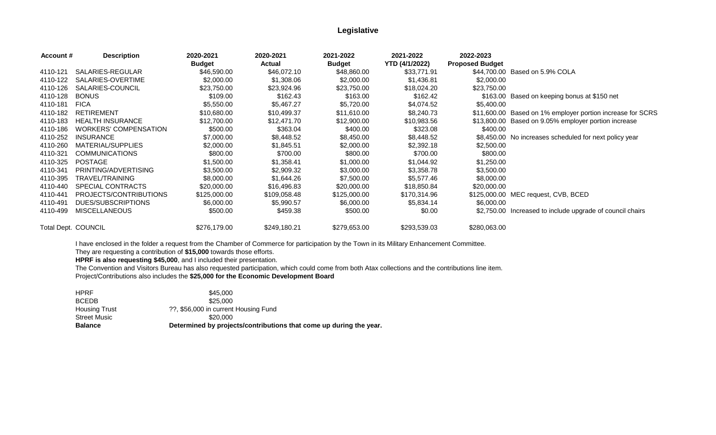## **Legislative**

| Account #                  | <b>Description</b>           | 2020-2021     | 2020-2021    | 2021-2022     | 2021-2022             | 2022-2023              |                                                            |
|----------------------------|------------------------------|---------------|--------------|---------------|-----------------------|------------------------|------------------------------------------------------------|
|                            |                              | <b>Budget</b> | Actual       | <b>Budget</b> | <b>YTD (4/1/2022)</b> | <b>Proposed Budget</b> |                                                            |
| 4110-121                   | SALARIES-REGULAR             | \$46,590.00   | \$46,072.10  | \$48,860.00   | \$33,771.91           |                        | \$44,700.00 Based on 5.9% COLA                             |
| 4110-122                   | SALARIES-OVERTIME            | \$2,000.00    | \$1,308.06   | \$2,000.00    | \$1,436.81            | \$2,000.00             |                                                            |
| 4110-126                   | SALARIES-COUNCIL             | \$23,750.00   | \$23,924.96  | \$23,750.00   | \$18,024.20           | \$23,750.00            |                                                            |
| 4110-128                   | <b>BONUS</b>                 | \$109.00      | \$162.43     | \$163.00      | \$162.42              |                        | \$163.00 Based on keeping bonus at \$150 net               |
| 4110-181                   | <b>FICA</b>                  | \$5,550.00    | \$5,467.27   | \$5,720.00    | \$4,074.52            | \$5,400.00             |                                                            |
| 4110-182                   | <b>RETIREMENT</b>            | \$10,680.00   | \$10,499.37  | \$11,610.00   | \$8,240.73            |                        | \$11,600.00 Based on 1% employer portion increase for SCRS |
| 4110-183                   | <b>HEALTH INSURANCE</b>      | \$12,700.00   | \$12,471.70  | \$12,900.00   | \$10,983.56           |                        | \$13,800.00 Based on 9.05% employer portion increase       |
| 4110-186                   | <b>WORKERS' COMPENSATION</b> | \$500.00      | \$363.04     | \$400.00      | \$323.08              | \$400.00               |                                                            |
| 4110-252                   | <b>INSURANCE</b>             | \$7,000.00    | \$8,448.52   | \$8,450.00    | \$8,448.52            |                        | \$8,450.00 No increases scheduled for next policy year     |
| 4110-260                   | MATERIAL/SUPPLIES            | \$2,000.00    | \$1,845.51   | \$2,000.00    | \$2,392.18            | \$2,500.00             |                                                            |
| 4110-321                   | <b>COMMUNICATIONS</b>        | \$800.00      | \$700.00     | \$800.00      | \$700.00              | \$800.00               |                                                            |
| 4110-325                   | <b>POSTAGE</b>               | \$1,500.00    | \$1,358.41   | \$1,000.00    | \$1,044.92            | \$1,250.00             |                                                            |
| 4110-341                   | PRINTING/ADVERTISING         | \$3,500.00    | \$2,909.32   | \$3,000.00    | \$3,358.78            | \$3,500.00             |                                                            |
| 4110-395                   | TRAVEL/TRAINING              | \$8,000.00    | \$1,644.26   | \$7,500.00    | \$5,577.46            | \$8,000.00             |                                                            |
| 4110-440                   | SPECIAL CONTRACTS            | \$20,000.00   | \$16,496.83  | \$20,000.00   | \$18,850.84           | \$20,000.00            |                                                            |
| 4110-441                   | PROJECTS/CONTRIBUTIONS       | \$125,000.00  | \$109,058.48 | \$125,000.00  | \$170,314.96          |                        | \$125,000.00 MEC request, CVB, BCED                        |
| 4110-491                   | DUES/SUBSCRIPTIONS           | \$6,000.00    | \$5,990.57   | \$6,000.00    | \$5,834.14            | \$6,000.00             |                                                            |
| 4110-499                   | <b>MISCELLANEOUS</b>         | \$500.00      | \$459.38     | \$500.00      | \$0.00                |                        | \$2,750.00 Increased to include upgrade of council chairs  |
| <b>Total Dept. COUNCIL</b> |                              | \$276,179.00  | \$249,180.21 | \$279,653.00  | \$293,539.03          | \$280,063.00           |                                                            |

I have enclosed in the folder a request from the Chamber of Commerce for participation by the Town in its Military Enhancement Committee. They are requesting a contribution of **\$15,000** towards those efforts.

**HPRF is also requesting \$45,000**, and I included their presentation.

The Convention and Visitors Bureau has also requested participation, which could come from both Atax collections and the contributions line item. Project/Contributions also includes the **\$25,000 for the Economic Development Board**

| <b>Balance</b>       | Determined by projects/contributions that come up during the year. |
|----------------------|--------------------------------------------------------------------|
| <b>Street Music</b>  | \$20,000                                                           |
| <b>Housing Trust</b> | ??, \$56,000 in current Housing Fund                               |
| <b>BCEDB</b>         | \$25,000                                                           |
| <b>HPRF</b>          | \$45,000                                                           |
|                      |                                                                    |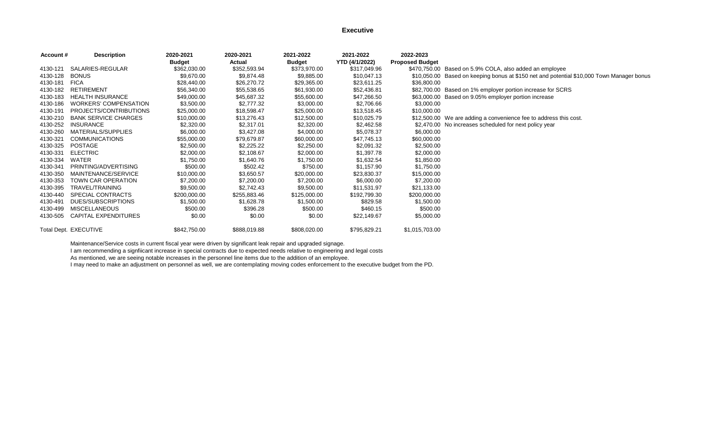### **Executive**

| Account # | <b>Description</b>           | 2020-2021     | 2020-2021    | 2021-2022     | 2021-2022             | 2022-2023              |                                                                                           |
|-----------|------------------------------|---------------|--------------|---------------|-----------------------|------------------------|-------------------------------------------------------------------------------------------|
|           |                              | <b>Budget</b> | Actual       | <b>Budget</b> | <b>YTD (4/1/2022)</b> | <b>Proposed Budget</b> |                                                                                           |
| 4130-121  | SALARIES-REGULAR             | \$362,030.00  | \$352,593.94 | \$373,970.00  | \$317,049.96          |                        | \$470,750.00 Based on 5.9% COLA, also added an employee                                   |
| 4130-128  | <b>BONUS</b>                 | \$9,670.00    | \$9,874.48   | \$9,885.00    | \$10,047.13           |                        | \$10,050.00 Based on keeping bonus at \$150 net and potential \$10,000 Town Manager bonus |
| 4130-181  | <b>FICA</b>                  | \$28,440.00   | \$26,270.72  | \$29,365.00   | \$23,611.25           | \$36,800.00            |                                                                                           |
| 4130-182  | <b>RETIREMENT</b>            | \$56,340.00   | \$55,538.65  | \$61,930.00   | \$52,436.81           |                        | \$82,700.00 Based on 1% employer portion increase for SCRS                                |
| 4130-183  | <b>HEALTH INSURANCE</b>      | \$49,000.00   | \$45,687.32  | \$55,600.00   | \$47,266.50           |                        | \$63,000.00 Based on 9.05% employer portion increase                                      |
| 4130-186  | <b>WORKERS' COMPENSATION</b> | \$3,500.00    | \$2,777.32   | \$3,000.00    | \$2,706.66            | \$3,000.00             |                                                                                           |
| 4130-191  | PROJECTS/CONTRIBUTIONS       | \$25,000.00   | \$18,598.47  | \$25,000.00   | \$13,518.45           | \$10,000.00            |                                                                                           |
| 4130-210  | <b>BANK SERVICE CHARGES</b>  | \$10,000.00   | \$13,276.43  | \$12,500.00   | \$10,025.79           |                        | \$12,500.00 We are adding a convenience fee to address this cost.                         |
| 4130-252  | <b>INSURANCE</b>             | \$2,320.00    | \$2,317.01   | \$2,320.00    | \$2,462.58            |                        | \$2,470.00 No increases scheduled for next policy year                                    |
| 4130-260  | MATERIALS/SUPPLIES           | \$6,000.00    | \$3,427.08   | \$4,000.00    | \$5,078.37            | \$6,000.00             |                                                                                           |
| 4130-321  | <b>COMMUNICATIONS</b>        | \$55,000.00   | \$79,679.87  | \$60,000.00   | \$47,745.13           | \$60,000.00            |                                                                                           |
| 4130-325  | <b>POSTAGE</b>               | \$2,500.00    | \$2,225.22   | \$2,250.00    | \$2,091.32            | \$2,500.00             |                                                                                           |
| 4130-331  | <b>ELECTRIC</b>              | \$2,000.00    | \$2,108.67   | \$2,000.00    | \$1,397.78            | \$2,000.00             |                                                                                           |
| 4130-334  | WATER                        | \$1,750.00    | \$1,640.76   | \$1,750.00    | \$1,632.54            | \$1,850.00             |                                                                                           |
| 4130-341  | PRINTING/ADVERTISING         | \$500.00      | \$502.42     | \$750.00      | \$1,157.90            | \$1,750.00             |                                                                                           |
| 4130-350  | MAINTENANCE/SERVICE          | \$10,000.00   | \$3,650.57   | \$20,000.00   | \$23,830.37           | \$15,000.00            |                                                                                           |
| 4130-353  | TOWN CAR OPERATION           | \$7,200.00    | \$7,200.00   | \$7,200.00    | \$6,000.00            | \$7,200.00             |                                                                                           |
| 4130-395  | TRAVEL/TRAINING              | \$9,500.00    | \$2,742.43   | \$9,500.00    | \$11,531.97           | \$21,133.00            |                                                                                           |
| 4130-440  | SPECIAL CONTRACTS            | \$200,000.00  | \$255,883.46 | \$125,000.00  | \$192,799.30          | \$200,000.00           |                                                                                           |
| 4130-491  | DUES/SUBSCRIPTIONS           | \$1,500.00    | \$1,628.78   | \$1,500.00    | \$829.58              | \$1,500.00             |                                                                                           |
| 4130-499  | <b>MISCELLANEOUS</b>         | \$500.00      | \$396.28     | \$500.00      | \$460.15              | \$500.00               |                                                                                           |
| 4130-505  | CAPITAL EXPENDITURES         | \$0.00        | \$0.00       | \$0.00        | \$22,149.67           | \$5,000.00             |                                                                                           |
|           | Total Dept. EXECUTIVE        | \$842,750.00  | \$888,019.88 | \$808,020.00  | \$795,829.21          | \$1,015,703.00         |                                                                                           |

Maintenance/Service costs in current fiscal year were driven by significant leak repair and upgraded signage.

I am recommending a signfiicant increase in special contracts due to expected needs relative to engineering and legal costs

As mentioned, we are seeing notable increases in the personnel line items due to the addition of an employee.

I may need to make an adjustment on personnel as well, we are contemplating moving codes enforcement to the executive budget from the PD.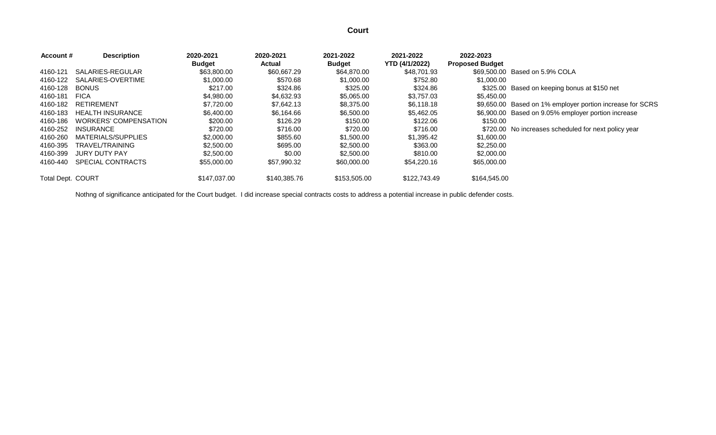## **Court**

| Account#                 | <b>Description</b>      | 2020-2021     | 2020-2021     | 2021-2022     | 2021-2022             | 2022-2023              |                                                           |
|--------------------------|-------------------------|---------------|---------------|---------------|-----------------------|------------------------|-----------------------------------------------------------|
|                          |                         | <b>Budget</b> | <b>Actual</b> | <b>Budget</b> | <b>YTD (4/1/2022)</b> | <b>Proposed Budget</b> |                                                           |
| 4160-121                 | SALARIES-REGULAR        | \$63,800.00   | \$60,667.29   | \$64,870.00   | \$48,701.93           |                        | \$69,500,00 Based on 5.9% COLA                            |
| 4160-122                 | SALARIES-OVERTIME       | \$1,000.00    | \$570.68      | \$1,000.00    | \$752.80              | \$1,000.00             |                                                           |
| 4160-128                 | <b>BONUS</b>            | \$217.00      | \$324.86      | \$325.00      | \$324.86              |                        | \$325.00 Based on keeping bonus at \$150 net              |
| 4160-181                 | <b>FICA</b>             | \$4,980.00    | \$4,632.93    | \$5,065.00    | \$3.757.03            | \$5,450.00             |                                                           |
| 4160-182                 | RETIREMENT              | \$7.720.00    | \$7.642.13    | \$8,375.00    | \$6.118.18            |                        | \$9,650.00 Based on 1% employer portion increase for SCRS |
| 4160-183                 | <b>HEALTH INSURANCE</b> | \$6,400.00    | \$6,164.66    | \$6,500.00    | \$5,462.05            |                        | \$6,900.00 Based on 9.05% employer portion increase       |
| 4160-186                 | WORKERS' COMPENSATION   | \$200.00      | \$126.29      | \$150.00      | \$122.06              | \$150.00               |                                                           |
| 4160-252                 | <b>INSURANCE</b>        | \$720.00      | \$716.00      | \$720.00      | \$716.00              |                        | \$720.00 No increases scheduled for next policy year      |
| 4160-260                 | MATERIALS/SUPPLIES      | \$2,000.00    | \$855.60      | \$1,500.00    | \$1.395.42            | \$1,600.00             |                                                           |
| 4160-395                 | TRAVEL/TRAINING         | \$2,500.00    | \$695.00      | \$2,500.00    | \$363.00              | \$2,250.00             |                                                           |
| 4160-399                 | <b>JURY DUTY PAY</b>    | \$2,500.00    | \$0.00        | \$2,500.00    | \$810.00              | \$2,000.00             |                                                           |
| 4160-440                 | SPECIAL CONTRACTS       | \$55,000.00   | \$57,990.32   | \$60,000.00   | \$54,220.16           | \$65,000.00            |                                                           |
| <b>Total Dept. COURT</b> |                         | \$147,037,00  | \$140,385,76  | \$153,505.00  | \$122,743.49          | \$164,545.00           |                                                           |

Nothng of significance anticipated for the Court budget. I did increase special contracts costs to address a potential increase in public defender costs.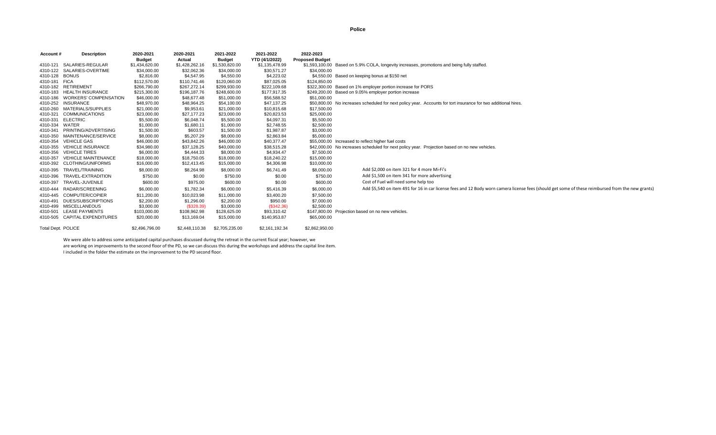#### **Police**

| Account#                  | <b>Description</b>                             | 2020-2021                     | 2020-2021                     | 2021-2022                     | 2021-2022                     | 2022-2023              |                                                                                                                                                   |
|---------------------------|------------------------------------------------|-------------------------------|-------------------------------|-------------------------------|-------------------------------|------------------------|---------------------------------------------------------------------------------------------------------------------------------------------------|
|                           |                                                | <b>Budget</b>                 | Actual                        | <b>Budget</b>                 | YTD (4/1/2022)                | <b>Proposed Budget</b> |                                                                                                                                                   |
| 4310-121                  | SALARIES-REGULAR<br>4310-122 SALARIES-OVERTIME | \$1,434,620.00<br>\$34,000.00 | \$1,428,262.16<br>\$32,062.36 | \$1,530,820.00<br>\$34,000.00 | \$1,135,478.99<br>\$30,571.27 | \$34,000.00            | \$1,593,100.00 Based on 5.9% COLA, longevity increases, promotions and being fully staffed.                                                       |
| 4310-128                  | <b>BONUS</b>                                   | \$2,816.00                    | \$4,547.95                    | \$4,550.00                    | \$4,223.02                    |                        | \$4,550.00 Based on keeping bonus at \$150 net                                                                                                    |
| 4310-181                  | <b>FICA</b>                                    | \$112,570.00                  | \$110,741.46                  | \$120,060.00                  | \$87,025.05                   | \$124,850.00           |                                                                                                                                                   |
|                           | 4310-182 RETIREMENT                            | \$266,790.00                  | \$267,272.14                  | \$299,930.00                  | \$222,109.68                  |                        | \$322,300.00 Based on 1% employer portion increase for PORS                                                                                       |
|                           | 4310-183 HEALTH INSURANCE                      | \$215,300.00                  | \$196,187.76                  | \$248,600.00                  | \$177,917.35                  |                        | \$249,200.00 Based on 9.05% employer portion increase                                                                                             |
| 4310-186                  | <b>WORKERS' COMPENSATION</b>                   | \$46,000.00                   | \$48,677.48                   | \$51,000.00                   | \$56,588.52                   | \$51,000.00            |                                                                                                                                                   |
| 4310-252                  | <b>INSURANCE</b>                               | \$48,970.00                   | \$48,964.25                   | \$54,100.00                   | \$47,137.25                   |                        | \$50,800.00 No increases scheduled for next policy year. Accounts for tort insurance for two additional hires.                                    |
| 4310-260                  | <b>MATERIALS/SUPPLIES</b>                      | \$21,000.00                   | \$9,953.61                    | \$21,000.00                   | \$10,815.68                   | \$17,500.00            |                                                                                                                                                   |
| 4310-321                  | <b>COMMUNICATIONS</b>                          | \$23,000.00                   | \$27,177.23                   | \$23,000.00                   | \$20,823.53                   | \$25,000.00            |                                                                                                                                                   |
| 4310-331                  | <b>ELECTRIC</b>                                | \$5,500.00                    | \$6,048.74                    | \$5,500.00                    | \$4,097.31                    | \$5,500.00             |                                                                                                                                                   |
| 4310-334                  | WATER                                          | \$1,000.00                    | \$1,680.11                    | \$1,000.00                    | \$2,748.55                    | \$2,500.00             |                                                                                                                                                   |
| 4310-341                  | PRINTING/ADVERTISING                           | \$1,500.00                    | \$603.57                      | \$1,500.00                    | \$1,987.87                    | \$3,000.00             |                                                                                                                                                   |
| 4310-350                  | MAINTENANCE/SERVICE                            | \$8,000.00                    | \$5,207.29                    | \$8,000.00                    | \$2,863.84                    | \$5,000.00             |                                                                                                                                                   |
| 4310-354                  | <b>VEHICLE GAS</b>                             | \$46,000.00                   | \$43,842.26                   | \$46,000.00                   | \$40,377.47                   |                        | \$55,000.00 Increased to reflect higher fuel costs                                                                                                |
| 4310-355                  | <b>VEHICLE INSURANCE</b>                       | \$34,980.00                   | \$37,128.25                   | \$40,000.00                   | \$38,515.28                   |                        | \$42,000.00 No increases scheduled for next policy year. Projection based on no new vehicles.                                                     |
| 4310-356                  | <b>VEHICLE TIRES</b>                           | \$6,000.00                    | \$4,444.33                    | \$8,000.00                    | \$4,934.47                    | \$7,500.00             |                                                                                                                                                   |
| 4310-357                  | <b>VEHICLE MAINTENANCE</b>                     | \$18,000.00                   | \$18,750.05                   | \$18,000.00                   | \$18,240.22                   | \$15,000.00            |                                                                                                                                                   |
| 4310-392                  | <b>CLOTHING/UNIFORMS</b>                       | \$16,000.00                   | \$12,413.45                   | \$15,000.00                   | \$4,306.98                    | \$10,000.00            |                                                                                                                                                   |
| 4310-395                  | <b>TRAVEL/TRAININIG</b>                        | \$8,000.00                    | \$8,264.98                    | \$8,000.00                    | \$6,741.49                    | \$8,000.00             | Add \$2,000 on item 321 for 4 more Mi-Fi's                                                                                                        |
| 4310-396                  | TRAVEL-EXTRADITION                             | \$750.00                      | \$0.00                        | \$750.00                      | \$0.00                        | \$750.00               | Add \$1,500 on item 341 for more advertising                                                                                                      |
| 4310-397                  | TRAVEL-JUVENILE                                | \$600.00                      | \$975.00                      | \$600.00                      | \$0.00                        | \$600.00               | Cost of Fuel will need some help too                                                                                                              |
| 4310-444                  | RADAR/SCREENING                                | \$6,000.00                    | \$1,782.34                    | \$6,000.00                    | \$5,416.39                    | \$6,000.00             | Add \$5,540 on item 491 for 16 in car license fees and 12 Body worn camera license fees (should get some of these reimbursed from the new grants) |
|                           | 4310-445 COMPUTER/COPIER                       | \$11,200.00                   | \$10,023.98                   | \$11,000.00                   | \$3,400.20                    | \$7,500.00             |                                                                                                                                                   |
| 4310-491                  | DUES/SUBSCRIPTIONS                             | \$2,200.00                    | \$1,296.00                    | \$2,200.00                    | \$950.00                      | \$7,000.00             |                                                                                                                                                   |
| 4310-499                  | <b>MISCELLANEOUS</b>                           | \$3,000.00                    | (\$328.39)                    | \$3,000.00                    | (\$342.36)                    | \$2,500.00             |                                                                                                                                                   |
| 4310-501                  | <b>LEASE PAYMENTS</b>                          | \$103,000.00                  | \$108,962.98                  | \$128,625.00                  | \$93,310.42                   |                        | \$147,800.00 Projection based on no new vehicles.                                                                                                 |
|                           | 4310-505 CAPITAL EXPENDITURES                  | \$20,000.00                   | \$13,169.04                   | \$15,000.00                   | \$140,953.87                  | \$65,000.00            |                                                                                                                                                   |
| <b>Total Dept. POLICE</b> |                                                | \$2,496,796.00                | \$2,448,110,38                | \$2,705,235.00                | \$2.161.192.34                | \$2,862,950.00         |                                                                                                                                                   |

We were able to address some anticipated capital purchases discussed during the retreat in the current fiscal year; however, we are working on improvements to the second floor of the PD, so we can discuss this during the workshops and address the capital line item. I included in the folder the estimate on the improvement to the PD second floor.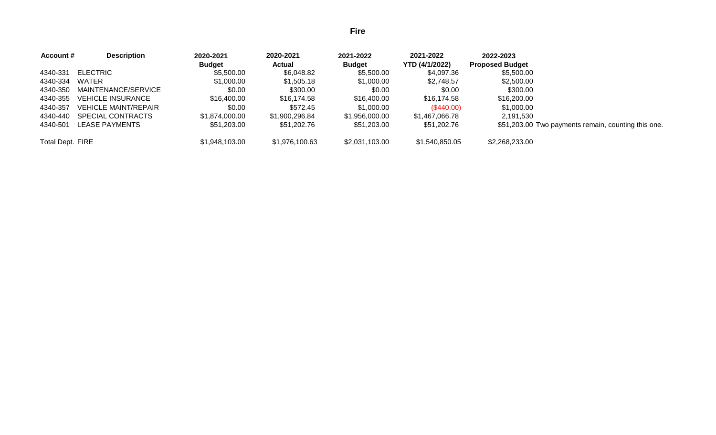# **Fire**

| Account #               | <b>Description</b>          | 2020-2021      | 2020-2021      | 2021-2022      | 2021-2022             | 2022-2023              |                                                     |
|-------------------------|-----------------------------|----------------|----------------|----------------|-----------------------|------------------------|-----------------------------------------------------|
|                         |                             | <b>Budget</b>  | Actual         | <b>Budget</b>  | <b>YTD (4/1/2022)</b> | <b>Proposed Budget</b> |                                                     |
| 4340-331                | <b>ELECTRIC</b>             | \$5,500.00     | \$6,048.82     | \$5,500.00     | \$4,097.36            | \$5,500.00             |                                                     |
| 4340-334                | WATER                       | \$1,000.00     | \$1,505.18     | \$1,000.00     | \$2,748.57            | \$2,500.00             |                                                     |
| 4340-350                | MAINTENANCE/SERVICE         | \$0.00         | \$300.00       | \$0.00         | \$0.00                | \$300.00               |                                                     |
| 4340-355                | <b>VEHICLE INSURANCE</b>    | \$16,400.00    | \$16.174.58    | \$16,400.00    | \$16.174.58           | \$16,200.00            |                                                     |
| 4340-357                | <b>VEHICLE MAINT/REPAIR</b> | \$0.00         | \$572.45       | \$1,000.00     | (\$440.00)            | \$1,000.00             |                                                     |
| 4340-440                | SPECIAL CONTRACTS           | \$1,874,000.00 | \$1,900,296.84 | \$1,956,000.00 | \$1,467,066.78        | 2.191.530              |                                                     |
| 4340-501                | LEASE PAYMENTS              | \$51,203.00    | \$51.202.76    | \$51,203.00    | \$51,202.76           |                        | \$51,203.00 Two payments remain, counting this one. |
| <b>Total Dept. FIRE</b> |                             | \$1,948,103.00 | \$1,976,100.63 | \$2,031,103.00 | \$1,540,850.05        | \$2,268,233.00         |                                                     |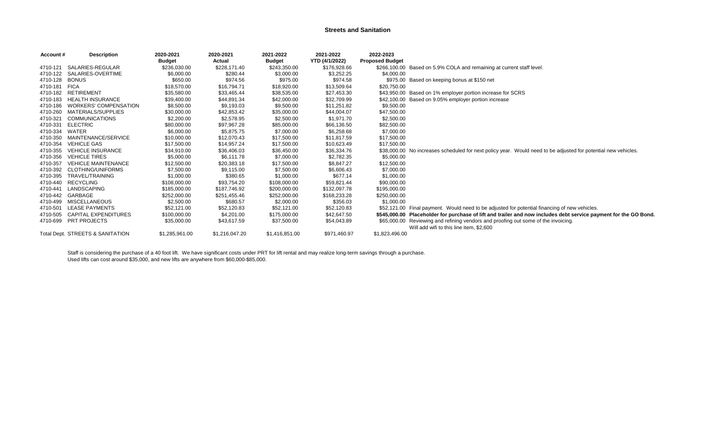## **Streets and Sanitation**

| <b>Account#</b> | <b>Description</b>               | 2020-2021      | 2020-2021      | 2021-2022      | 2021-2022             | 2022-2023              |                                                                                                                  |
|-----------------|----------------------------------|----------------|----------------|----------------|-----------------------|------------------------|------------------------------------------------------------------------------------------------------------------|
|                 |                                  | <b>Budget</b>  | Actual         | <b>Budget</b>  | <b>YTD (4/1/2022)</b> | <b>Proposed Budget</b> |                                                                                                                  |
| 4710-121        | SALARIES-REGULAR                 | \$236,030.00   | \$228,171.40   | \$243,350.00   | \$176,928.66          |                        | \$266,100.00 Based on 5.9% COLA and remaining at current staff level.                                            |
| 4710-122        | SALARIES-OVERTIME                | \$6,000.00     | \$280.44       | \$3,000.00     | \$3,252.25            | \$4,000.00             |                                                                                                                  |
| 4710-128        | <b>BONUS</b>                     | \$650.00       | \$974.56       | \$975.00       | \$974.58              |                        | \$975.00 Based on keeping bonus at \$150 net                                                                     |
| 4710-181        | <b>FICA</b>                      | \$18,570.00    | \$16,794.71    | \$18,920.00    | \$13,509.64           | \$20,750.00            |                                                                                                                  |
| 4710-182        | RETIREMENT                       | \$35,580.00    | \$33,465.44    | \$38,535.00    | \$27,453.30           |                        | \$43,950.00 Based on 1% employer portion increase for SCRS                                                       |
| 4710-183        | <b>HEALTH INSURANCE</b>          | \$39,400.00    | \$44,891.34    | \$42,000.00    | \$32,709.99           |                        | \$42,100.00 Based on 9.05% employer portion increase                                                             |
| 4710-186        | <b>WORKERS' COMPENSATION</b>     | \$8,500.00     | \$9,193.03     | \$9,500.00     | \$11,251.82           | \$9,500.00             |                                                                                                                  |
| 4710-260        | MATERIALS/SUPPLIES               | \$30,000.00    | \$42,853.42    | \$35,000.00    | \$44,004.07           | \$47,500.00            |                                                                                                                  |
| 4710-321        | <b>COMMUNICATIONS</b>            | \$2,200.00     | \$2,578.95     | \$2,500.00     | \$1,971.70            | \$2,500.00             |                                                                                                                  |
| 4710-331        | <b>ELECTRIC</b>                  | \$80,000.00    | \$97,967.28    | \$85,000.00    | \$66,136.50           | \$82,500.00            |                                                                                                                  |
| 4710-334        | WATER                            | \$6,000.00     | \$5,875.75     | \$7,000.00     | \$6,258.68            | \$7,000.00             |                                                                                                                  |
| 4710-350        | MAINTENANCE/SERVICE              | \$10,000.00    | \$12,070.43    | \$17,500.00    | \$11,817.59           | \$17,500.00            |                                                                                                                  |
| 4710-354        | <b>VEHICLE GAS</b>               | \$17,500.00    | \$14,957.24    | \$17,500.00    | \$10,623.49           | \$17,500.00            |                                                                                                                  |
| 4710-355        | <b>VEHICLE INSURANCE</b>         | \$34,910.00    | \$36,406.03    | \$36,450.00    | \$36,334.76           |                        | \$38,000.00 No increases scheduled for next policy year. Would need to be adjusted for potential new vehicles.   |
| 4710-356        | <b>VEHICLE TIRES</b>             | \$5,000.00     | \$6,111.78     | \$7,000.00     | \$2,782.35            | \$5,000.00             |                                                                                                                  |
| 4710-357        | <b>VEHICLE MAINTENANCE</b>       | \$12,500.00    | \$20,383.18    | \$17,500.00    | \$8,847.27            | \$12,500.00            |                                                                                                                  |
| 4710-392        | <b>CLOTHING/UNIFORMS</b>         | \$7,500.00     | \$9,115.00     | \$7,500.00     | \$6,606.43            | \$7,000.00             |                                                                                                                  |
| 4710-395        | TRAVEL/TRAINING                  | \$1,000.00     | \$380.65       | \$1,000.00     | \$677.14              | \$1,000.00             |                                                                                                                  |
| 4710-440        | <b>RECYCLING</b>                 | \$108,000.00   | \$93,754.20    | \$108,000.00   | \$59,821.44           | \$90,000.00            |                                                                                                                  |
| 4710-441        | LANDSCAPING                      | \$185,000.00   | \$187,746.92   | \$200,000.00   | \$132,097.78          | \$195,000.00           |                                                                                                                  |
| 4710-442        | GARBAGE                          | \$252,000.00   | \$251,455.46   | \$252,000.00   | \$168,233.28          | \$250,000.00           |                                                                                                                  |
| 4710-499        | <b>MISCELLANEOUS</b>             | \$2,500.00     | \$680.57       | \$2,000.00     | \$356.03              | \$1,000.00             |                                                                                                                  |
| 4710-501        | <b>LEASE PAYMENTS</b>            | \$52,121.00    | \$52,120.83    | \$52,121.00    | \$52,120.83           |                        | \$52,121.00 Final payment. Would need to be adjusted for potential financing of new vehicles.                    |
| 4710-505        | <b>CAPITAL EXPENDITURES</b>      | \$100,000.00   | \$4,201.00     | \$175,000.00   | \$42,647.50           |                        | \$545,000.00 Placeholder for purchase of lift and trailer and now includes debt service payment for the GO Bond. |
|                 | 4710-699 PRT PROJECTS            | \$35,000.00    | \$43,617.59    | \$37,500.00    | \$54,043.89           |                        | \$65,000.00 Reviewing and refining vendors and proofing out some of the invoicing.                               |
|                 |                                  |                |                |                |                       |                        | Will add wifi to this line item, \$2,600                                                                         |
|                 | Total Dept. STREETS & SANITATION | \$1,285,961.00 | \$1,216,047.20 | \$1,416,851.00 | \$971.460.97          | \$1,823,496.00         |                                                                                                                  |

Staff is considering the purchase of a 40 foot lift. We have significant costs under PRT for lift rental and may realize long-term savings through a purchase. Used lifts can cost around \$35,000, and new lifts are anywhere from \$60,000-\$85,000.